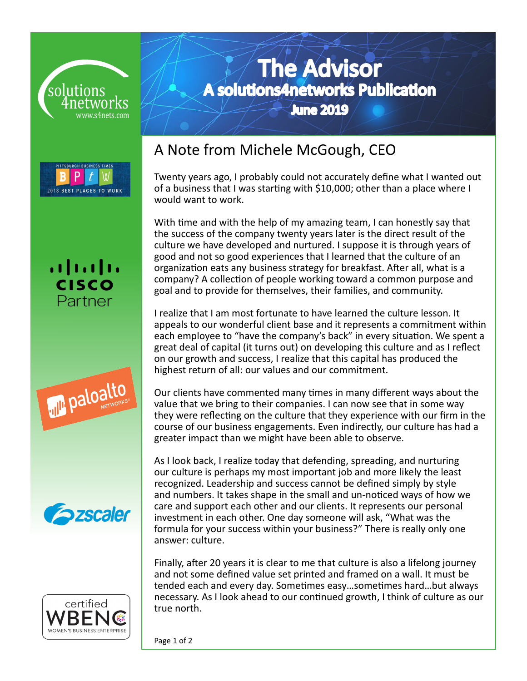











# The Advisor A solutions4networks Publication June 2019

A Note from Michele McGough, CEO

Twenty years ago, I probably could not accurately define what I wanted out of a business that I was starting with \$10,000; other than a place where I would want to work.

With time and with the help of my amazing team, I can honestly say that the success of the company twenty years later is the direct result of the culture we have developed and nurtured. I suppose it is through years of good and not so good experiences that I learned that the culture of an organization eats any business strategy for breakfast. After all, what is a company? A collection of people working toward a common purpose and goal and to provide for themselves, their families, and community.

I realize that I am most fortunate to have learned the culture lesson. It appeals to our wonderful client base and it represents a commitment within each employee to "have the company's back" in every situation. We spent a great deal of capital (it turns out) on developing this culture and as I reflect on our growth and success, I realize that this capital has produced the highest return of all: our values and our commitment.

Our clients have commented many times in many different ways about the value that we bring to their companies. I can now see that in some way they were reflecting on the culture that they experience with our firm in the course of our business engagements. Even indirectly, our culture has had a greater impact than we might have been able to observe.

As I look back, I realize today that defending, spreading, and nurturing our culture is perhaps my most important job and more likely the least recognized. Leadership and success cannot be defined simply by style and numbers. It takes shape in the small and un-noticed ways of how we care and support each other and our clients. It represents our personal investment in each other. One day someone will ask, "What was the formula for your success within your business?" There is really only one answer: culture.

Finally, after 20 years it is clear to me that culture is also a lifelong journey and not some defined value set printed and framed on a wall. It must be tended each and every day. Sometimes easy…sometimes hard…but always necessary. As I look ahead to our continued growth, I think of culture as our true north.

Page 1 of 2